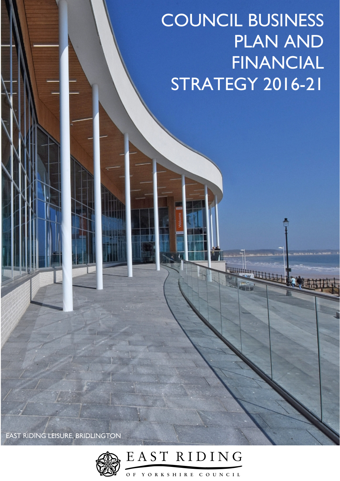# COUNCIL BUSINESS PLAN AND FINANCIAL STRATEGY 2016-21

PORTUGAL STATES

EAST RIDING LEISURE, BRIDLINGTON

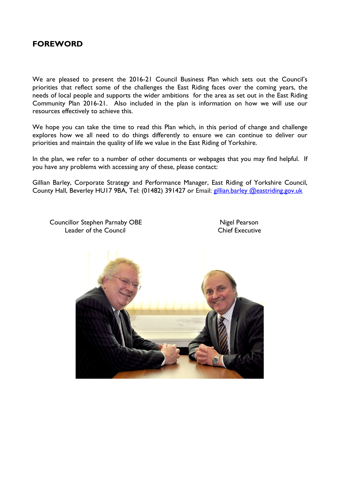## **FOREWORD**

We are pleased to present the 2016-21 Council Business Plan which sets out the Council's priorities that reflect some of the challenges the East Riding faces over the coming years, the needs of local people and supports the wider ambitions for the area as set out in the East Riding Community Plan 2016-21. Also included in the plan is information on how we will use our resources effectively to achieve this.

We hope you can take the time to read this Plan which, in this period of change and challenge explores how we all need to do things differently to ensure we can continue to deliver our priorities and maintain the quality of life we value in the East Riding of Yorkshire.

In the plan, we refer to a number of other documents or webpages that you may find helpful. If you have any problems with accessing any of these, please contact:

Gillian Barley, Corporate Strategy and Performance Manager, East Riding of Yorkshire Council, County Hall, Beverley HU17 9BA, Tel: (01482) 391427 or Email: gillian.barley @eastriding.gov.uk

Councillor Stephen Parnaby OBE Nigel Pearson Leader of the Council **Chief Executive** 

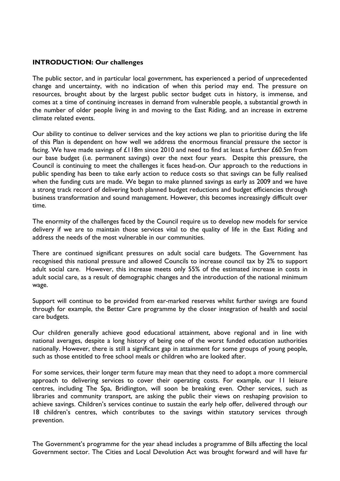#### **INTRODUCTION: Our challenges**

The public sector, and in particular local government, has experienced a period of unprecedented change and uncertainty, with no indication of when this period may end. The pressure on resources, brought about by the largest public sector budget cuts in history, is immense, and comes at a time of continuing increases in demand from vulnerable people, a substantial growth in the number of older people living in and moving to the East Riding, and an increase in extreme climate related events.

Our ability to continue to deliver services and the key actions we plan to prioritise during the life of this Plan is dependent on how well we address the enormous financial pressure the sector is facing. We have made savings of £118m since 2010 and need to find at least a further £60.5m from our base budget (i.e. permanent savings) over the next four years. Despite this pressure, the Council is continuing to meet the challenges it faces head-on. Our approach to the reductions in public spending has been to take early action to reduce costs so that savings can be fully realised when the funding cuts are made. We began to make planned savings as early as 2009 and we have a strong track record of delivering both planned budget reductions and budget efficiencies through business transformation and sound management. However, this becomes increasingly difficult over time.

The enormity of the challenges faced by the Council require us to develop new models for service delivery if we are to maintain those services vital to the quality of life in the East Riding and address the needs of the most vulnerable in our communities.

There are continued significant pressures on adult social care budgets. The Government has recognised this national pressure and allowed Councils to increase council tax by 2% to support adult social care. However, this increase meets only 55% of the estimated increase in costs in adult social care, as a result of demographic changes and the introduction of the national minimum wage.

Support will continue to be provided from ear-marked reserves whilst further savings are found through for example, the Better Care programme by the closer integration of health and social care budgets.

Our children generally achieve good educational attainment, above regional and in line with national averages, despite a long history of being one of the worst funded education authorities nationally. However, there is still a significant gap in attainment for some groups of young people, such as those entitled to free school meals or children who are looked after.

For some services, their longer term future may mean that they need to adopt a more commercial approach to delivering services to cover their operating costs. For example, our 11 leisure centres, including The Spa, Bridlington, will soon be breaking even. Other services, such as libraries and community transport, are asking the public their views on reshaping provision to achieve savings. Children's services continue to sustain the early help offer, delivered through our 18 children's centres, which contributes to the savings within statutory services through prevention.

The Government's programme for the year ahead includes a programme of Bills affecting the local Government sector. The Cities and Local Devolution Act was brought forward and will have far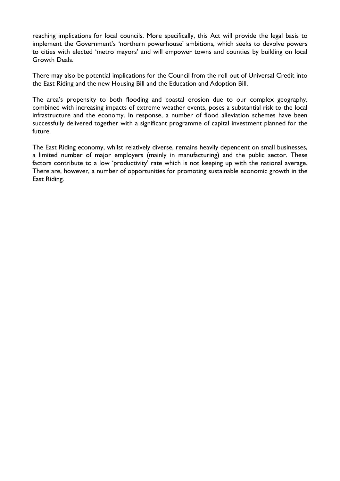reaching implications for local councils. More specifically, this Act will provide the legal basis to implement the Government's 'northern powerhouse' ambitions, which seeks to devolve powers to cities with elected 'metro mayors' and will empower towns and counties by building on local Growth Deals.

There may also be potential implications for the Council from the roll out of Universal Credit into the East Riding and the new Housing Bill and the Education and Adoption Bill.

The area's propensity to both flooding and coastal erosion due to our complex geography, combined with increasing impacts of extreme weather events, poses a substantial risk to the local infrastructure and the economy. In response, a number of flood alleviation schemes have been successfully delivered together with a significant programme of capital investment planned for the future.

The East Riding economy, whilst relatively diverse, remains heavily dependent on small businesses, a limited number of major employers (mainly in manufacturing) and the public sector. These factors contribute to a low 'productivity' rate which is not keeping up with the national average. There are, however, a number of opportunities for promoting sustainable economic growth in the East Riding.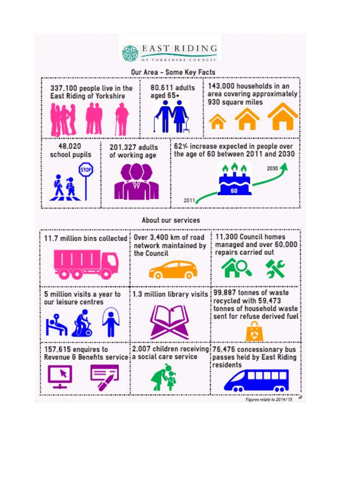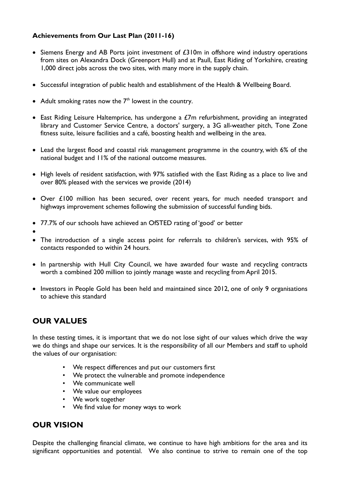#### **Achievements from Our Last Plan (2011-16)**

- Siemens Energy and AB Ports joint investment of  $E310m$  in offshore wind industry operations from sites on Alexandra Dock (Greenport Hull) and at Paull, East Riding of Yorkshire, creating 1,000 direct jobs across the two sites, with many more in the supply chain.
- Successful integration of public health and establishment of the Health & Wellbeing Board.
- Adult smoking rates now the  $7<sup>th</sup>$  lowest in the country.
- East Riding Leisure Haltemprice, has undergone a £7m refurbishment, providing an integrated library and Customer Service Centre, a doctors' surgery, a 3G all-weather pitch, Tone Zone fitness suite, leisure facilities and a café, boosting health and wellbeing in the area.
- Lead the largest flood and coastal risk management programme in the country, with 6% of the national budget and 11% of the national outcome measures.
- High levels of resident satisfaction, with 97% satisfied with the East Riding as a place to live and over 80% pleased with the services we provide (2014)
- Over £100 million has been secured, over recent years, for much needed transport and highways improvement schemes following the submission of successful funding bids.
- 77.7% of our schools have achieved an OfSTED rating of 'good' or better
- $\bullet$
- The introduction of a single access point for referrals to children's services, with 95% of contacts responded to within 24 hours.
- In partnership with Hull City Council, we have awarded four waste and recycling contracts worth a combined 200 million to jointly manage waste and recycling from April 2015.
- Investors in People Gold has been held and maintained since 2012, one of only 9 organisations to achieve this standard

## **OUR VALUES**

In these testing times, it is important that we do not lose sight of our values which drive the way we do things and shape our services. It is the responsibility of all our Members and staff to uphold the values of our organisation:

- We respect differences and put our customers first
- We protect the vulnerable and promote independence
- We communicate well
- We value our employees
- We work together
- We find value for money ways to work

## **OUR VISION**

Despite the challenging financial climate, we continue to have high ambitions for the area and its significant opportunities and potential. We also continue to strive to remain one of the top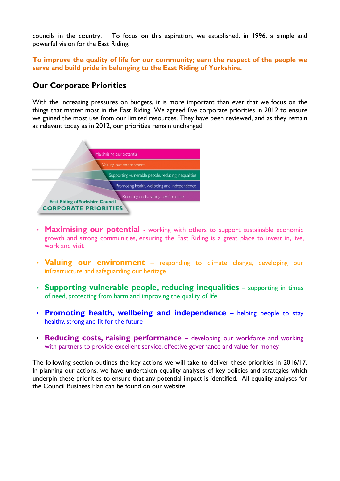councils in the country. To focus on this aspiration, we established, in 1996, a simple and powerful vision for the East Riding:

**To improve the quality of life for our community; earn the respect of the people we serve and build pride in belonging to the East Riding of Yorkshire.** 

## **Our Corporate Priorities**

With the increasing pressures on budgets, it is more important than ever that we focus on the things that matter most in the East Riding. We agreed five corporate priorities in 2012 to ensure we gained the most use from our limited resources. They have been reviewed, and as they remain as relevant today as in 2012, our priorities remain unchanged:



- **Maximising our potential** working with others to support sustainable economic growth and strong communities, ensuring the East Riding is a great place to invest in, live, work and visit
- Valuing our environment responding to climate change, developing our infrastructure and safeguarding our heritage
- **Supporting vulnerable people, reducing inequalities** supporting in times of need, protecting from harm and improving the quality of life
- **Promoting health, wellbeing and independence** helping people to stay healthy, strong and fit for the future
- **Reducing costs, raising performance** developing our workforce and working with partners to provide excellent service, effective governance and value for money

The following section outlines the key actions we will take to deliver these priorities in 2016/17. In planning our actions, we have undertaken equality analyses of key policies and strategies which underpin these priorities to ensure that any potential impact is identified. All equality analyses for the Council Business Plan can be found on our website.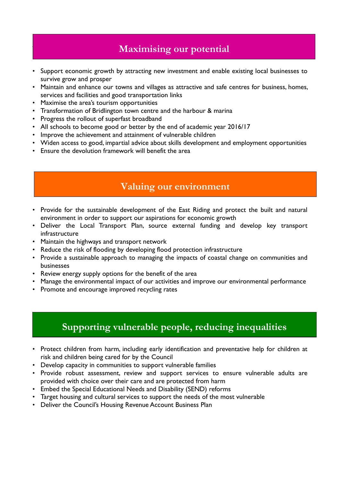# **Maximising our potential**

- Support economic growth by attracting new investment and enable existing local businesses to survive grow and prosper
- Maintain and enhance our towns and villages as attractive and safe centres for business, homes, services and facilities and good transportation links
- Maximise the area's tourism opportunities

imising our potential

- Transformation of Bridlington town centre and the harbour & marina
- Progress the rollout of superfast broadband
- All schools to become good or better by the end of academic year 2016/17
- Improve the achievement and attainment of vulnerable children
- Widen access to good, impartial advice about skills development and employment opportunities
- Ensure the devolution framework will benefit the area

# **Valuing our environment**

- Provide for the sustainable development of the East Riding and protect the built and natural environment in order to support our aspirations for economic growth
- Deliver the Local Transport Plan, source external funding and develop key transport infrastructure
- Maintain the highways and transport network
- Reduce the risk of flooding by developing flood protection infrastructure
- Provide a sustainable approach to managing the impacts of coastal change on communities and businesses
- Review energy supply options for the benefit of the area
- Manage the environmental impact of our activities and improve our environmental performance
- Promote and encourage improved recycling rates

# Supporting vulnerable people, reducing inequalities **Supporting vulnerable people, reducing inequalities**

- Protect children from harm, including early identification and preventative help for children at risk and children being cared for by the Council
- Develop capacity in communities to support vulnerable families
- Provide robust assessment, review and support services to ensure vulnerable adults are provided with choice over their care and are protected from harm
- Embed the Special Educational Needs and Disability (SEND) reforms
- Target housing and cultural services to support the needs of the most vulnerable
- Deliver the Council's Housing Revenue Account Business Plan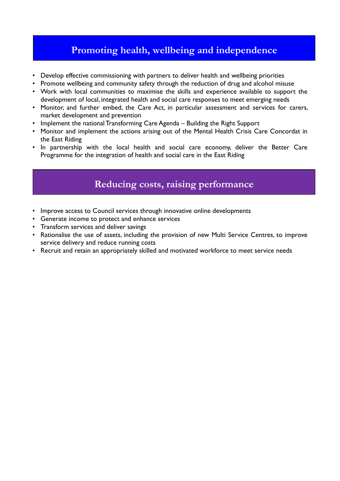## **Promoting health, wellbeing and independence**

- Develop effective commissioning with partners to deliver health and wellbeing priorities
- Promote wellbeing and community safety through the reduction of drug and alcohol misuse
- Work with local communities to maximise the skills and experience available to support the development of local, integrated health and social care responses to meet emerging needs
- Monitor, and further embed, the Care Act, in particular assessment and services for carers, market development and prevention
- Implement the national Transforming Care Agenda Building the Right Support
- Monitor and implement the actions arising out of the Mental Health Crisis Care Concordat in the East Riding
- In partnership with the local health and social care economy, deliver the Better Care Programme for the integration of health and social care in the East Riding

## **Reducing costs, raising performance**

- Improve access to Council services through innovative online developments
- Generate income to protect and enhance services
- Transform services and deliver savings
- Rationalise the use of assets, including the provision of new Multi Service Centres, to improve service delivery and reduce running costs
- Recruit and retain an appropriately skilled and motivated workforce to meet service needs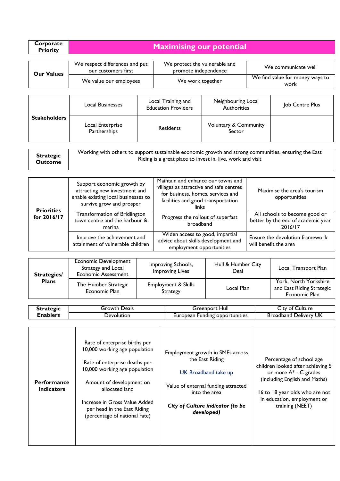| Corporate<br><b>Priority</b> | <b>Maximising our potential</b> |
|------------------------------|---------------------------------|
|                              |                                 |

| <b>Our Values</b> | We respect differences and put<br>our customers first | We protect the vulnerable and<br>promote independence | We communicate well                     |
|-------------------|-------------------------------------------------------|-------------------------------------------------------|-----------------------------------------|
|                   | We value our employees                                | We work together                                      | We find value for money ways to<br>work |

|                     | Local Businesses                 | Local Training and<br><b>Education Providers</b> | Neighbouring Local<br>Authorities          | Job Centre Plus |
|---------------------|----------------------------------|--------------------------------------------------|--------------------------------------------|-----------------|
| <b>Stakeholders</b> | Local Enterprise<br>Partnerships | <b>Residents</b>                                 | <b>Voluntary &amp; Community</b><br>Sector |                 |

| <b>Strategic</b> | Working with others to support sustainable economic growth and strong communities, ensuring the East |
|------------------|------------------------------------------------------------------------------------------------------|
| Outcome          | Riding is a great place to invest in, live, work and visit                                           |

| <b>Priorities</b> | Support economic growth by<br>attracting new investment and<br>enable existing local businesses to<br>survive grow and prosper | Maintain and enhance our towns and<br>villages as attractive and safe centres<br>for business, homes, services and<br>facilities and good transportation<br>links | Maximise the area's tourism<br>opportunities                                   |
|-------------------|--------------------------------------------------------------------------------------------------------------------------------|-------------------------------------------------------------------------------------------------------------------------------------------------------------------|--------------------------------------------------------------------------------|
| for 2016/17       | Transformation of Bridlington<br>town centre and the harbour &<br>marina                                                       | Progress the rollout of superfast<br>broadband                                                                                                                    | All schools to become good or<br>better by the end of academic year<br>2016/17 |
|                   | Improve the achievement and<br>attainment of vulnerable children                                                               | Widen access to good, impartial<br>advice about skills development and<br>employment opportunities                                                                | Ensure the devolution framework<br>will benefit the area                       |

| Strategies/  | <b>Economic Development</b><br>Strategy and Local<br><b>Economic Assessment</b>     | Improving Schools,<br><b>Improving Lives</b> | Hull & Humber City<br>Deal | Local Transport Plan                                                |
|--------------|-------------------------------------------------------------------------------------|----------------------------------------------|----------------------------|---------------------------------------------------------------------|
| <b>Plans</b> | The Humber Strategic<br><b>Employment &amp; Skills</b><br>Economic Plan<br>Strategy |                                              | Local Plan                 | York, North Yorkshire<br>and East Riding Strategic<br>Economic Plan |

| stratoric | Deals<br>rowth.`  | Hull<br>reenbort۔                           | Luiture<br>ات.<br>ΩŤ       |
|-----------|-------------------|---------------------------------------------|----------------------------|
| ∠nabler∕  | <b>Devolution</b> | <b>ODDOrtunities</b><br>-unding<br>⊥uronean | ' Delivery UK<br>Broadband |

| <b>Performance</b><br><b>Indicators</b> | Rate of enterprise births per<br>10,000 working age population<br>Rate of enterprise deaths per<br>10,000 working age population<br>Amount of development on<br>allocated land<br>Increase in Gross Value Added<br>per head in the East Riding<br>(percentage of national rate) | Employment growth in SMEs across<br>the East Riding<br>UK Broadband take up<br>Value of external funding attracted<br>into the area<br>City of Culture indicator (to be<br>developed) | Percentage of school age<br>children looked after achieving 5<br>or more $A^*$ - C grades<br>(including English and Maths)<br>16 to 18 year olds who are not<br>in education, employment or<br>training (NEET) |
|-----------------------------------------|---------------------------------------------------------------------------------------------------------------------------------------------------------------------------------------------------------------------------------------------------------------------------------|---------------------------------------------------------------------------------------------------------------------------------------------------------------------------------------|----------------------------------------------------------------------------------------------------------------------------------------------------------------------------------------------------------------|
|-----------------------------------------|---------------------------------------------------------------------------------------------------------------------------------------------------------------------------------------------------------------------------------------------------------------------------------|---------------------------------------------------------------------------------------------------------------------------------------------------------------------------------------|----------------------------------------------------------------------------------------------------------------------------------------------------------------------------------------------------------------|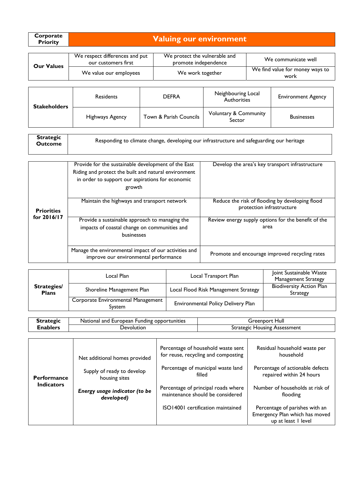| <b>Corporate</b> | Valuing our environment <sub> </sub> |
|------------------|--------------------------------------|
| <b>Priority</b>  |                                      |

| <b>Our Values</b> | We respect differences and put<br>our customers first | We protect the vulnerable and<br>promote independence | We communicate well                     |
|-------------------|-------------------------------------------------------|-------------------------------------------------------|-----------------------------------------|
|                   | We value our employees                                | We work together                                      | We find value for money ways to<br>work |

| <b>Stakeholders</b> | <b>Residents</b> | <b>DEFRA</b>           | Neighbouring Local<br>Authorities          | <b>Environment Agency</b> |
|---------------------|------------------|------------------------|--------------------------------------------|---------------------------|
|                     | Highways Agency  | Town & Parish Councils | <b>Voluntary &amp; Community</b><br>Sector | <b>Businesses</b>         |

| <b>Strategic</b><br>Outcome | Responding to climate change, developing our infrastructure and safeguarding our heritage |
|-----------------------------|-------------------------------------------------------------------------------------------|
|                             |                                                                                           |

|                   | Provide for the sustainable development of the East<br>Riding and protect the built and natural environment<br>in order to support our aspirations for economic<br>growth | Develop the area's key transport infrastructure                              |
|-------------------|---------------------------------------------------------------------------------------------------------------------------------------------------------------------------|------------------------------------------------------------------------------|
| <b>Priorities</b> | Maintain the highways and transport network                                                                                                                               | Reduce the risk of flooding by developing flood<br>protection infrastructure |
| for 2016/17       | Provide a sustainable approach to managing the<br>impacts of coastal change on communities and<br>businesses                                                              | Review energy supply options for the benefit of the<br>area                  |
|                   | Manage the environmental impact of our activities and<br>improve our environmental performance                                                                            | Promote and encourage improved recycling rates                               |

|                                    | Local Plan                                   | Local Transport Plan                      | Joint Sustainable Waste<br><b>Management Strategy</b> |
|------------------------------------|----------------------------------------------|-------------------------------------------|-------------------------------------------------------|
| <b>Strategies/</b><br><b>Plans</b> | Shoreline Management Plan                    | Local Flood Risk Management Strategy      | <b>Biodiversity Action Plan</b><br><b>Strategy</b>    |
|                                    | Corporate Environmental Management<br>Svstem | <b>Environmental Policy Delivery Plan</b> |                                                       |

| Strategic | i Funding opportunities<br>National and European | Hull<br>reenborد                          |
|-----------|--------------------------------------------------|-------------------------------------------|
| ≿nablers  | Jevolution                                       | Housing<br>Assessment<br><b>Strategic</b> |

| <b>Performance</b> | Net additional homes provided<br>Supply of ready to develop<br>housing sites | Percentage of household waste sent<br>for reuse, recycling and composting<br>Percentage of municipal waste land<br>filled | Residual household waste per<br>household<br>Percentage of actionable defects<br>repaired within 24 hours |
|--------------------|------------------------------------------------------------------------------|---------------------------------------------------------------------------------------------------------------------------|-----------------------------------------------------------------------------------------------------------|
| <b>Indicators</b>  | Energy usage indicator (to be<br>developed)                                  | Percentage of principal roads where<br>maintenance should be considered<br>ISO14001 certification maintained              | Number of households at risk of<br>flooding<br>Percentage of parishes with an                             |
|                    |                                                                              |                                                                                                                           | Emergency Plan which has moved<br>up at least I level                                                     |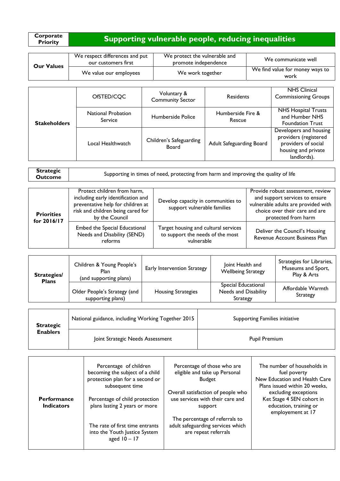| Corporate       |                                                       |
|-----------------|-------------------------------------------------------|
| <b>Priority</b> | Supporting vulnerable people, reducing inequalities \ |

| <b>Our Values</b> | We respect differences and put<br>our customers first | We protect the vulnerable and<br>promote independence | We communicate well                     |
|-------------------|-------------------------------------------------------|-------------------------------------------------------|-----------------------------------------|
|                   | We value our employees                                | We work together                                      | We find value for money ways to<br>work |

| <b>Stakeholders</b> | OfSTED/CQC                           | Voluntary &<br><b>Community Sector</b> | <b>Residents</b>            | <b>NHS Clinical</b><br><b>Commissioning Groups</b>                                                           |
|---------------------|--------------------------------------|----------------------------------------|-----------------------------|--------------------------------------------------------------------------------------------------------------|
|                     | National Probation<br><b>Service</b> | Humberside Police                      | Humberside Fire &<br>Rescue | <b>NHS Hospital Trusts</b><br>and Humber NHS<br><b>Foundation Trust</b>                                      |
|                     | Local Healthwatch                    | Children's Safeguarding<br>Board       | Adult Safeguarding Board    | Developers and housing<br>providers (registered<br>providers of social<br>housing and private<br>landlords). |

| <b>Strategic</b> |                                                                                     |
|------------------|-------------------------------------------------------------------------------------|
| Outcome          | Supporting in times of need, protecting from harm and improving the quality of life |

| <b>Priorities</b><br>for 2016/17 | Protect children from harm,<br>including early identification and<br>preventative help for children at<br>risk and children being cared for<br>by the Council | Develop capacity in communities to<br>support vulnerable families                      | Provide robust assessment, review<br>and support services to ensure<br>vulnerable adults are provided with<br>choice over their care and are<br>protected from harm |
|----------------------------------|---------------------------------------------------------------------------------------------------------------------------------------------------------------|----------------------------------------------------------------------------------------|---------------------------------------------------------------------------------------------------------------------------------------------------------------------|
|                                  | Embed the Special Educational<br>Needs and Disability (SEND)<br>reforms                                                                                       | Target housing and cultural services<br>to support the needs of the most<br>vulnerable | Deliver the Council's Housing<br>Revenue Account Business Plan                                                                                                      |

| <b>Strategies/</b><br><b>Plans</b> | Children & Young People's<br>Plan<br>(and supporting plans) | Early Intervention Strategy | Joint Health and<br><b>Wellbeing Strategy</b>                  | Strategies for Libraries,<br>Museums and Sport,<br>Play & Arts |
|------------------------------------|-------------------------------------------------------------|-----------------------------|----------------------------------------------------------------|----------------------------------------------------------------|
|                                    | Older People's Strategy (and<br>supporting plans)           | <b>Housing Strategies</b>   | Special Educational<br>Needs and Disability<br><b>Strategy</b> | Affordable Warmth<br>Strategy                                  |
|                                    |                                                             |                             |                                                                |                                                                |

| <b>Strategic</b> | National guidance, including Working Together 2015 | Supporting Families initiative |
|------------------|----------------------------------------------------|--------------------------------|
| <b>Enablers</b>  | Joint Strategic Needs Assessment                   | Pupil Premium                  |

|                                         | Percentage of children<br>becoming the subject of a child<br>protection plan for a second or<br>subsequent time | Percentage of those who are<br>eligible and take up Personal<br><b>Budget</b>               | The number of households in<br>fuel poverty<br>New Education and Health Care<br>Plans issued within 20 weeks. |
|-----------------------------------------|-----------------------------------------------------------------------------------------------------------------|---------------------------------------------------------------------------------------------|---------------------------------------------------------------------------------------------------------------|
| <b>Performance</b><br><b>Indicators</b> | Percentage of child protection<br>plans lasting 2 years or more                                                 | Overall satisfaction of people who<br>use services with their care and<br>support           | excluding exceptions<br>Ket Stage 4 SEN cohort in<br>education, training or<br>employement at 17              |
|                                         | The rate of first time entrants<br>into the Youth Justice System<br>aged $10 - 17$                              | The percentage of referrals to<br>adult safeguarding services which<br>are repeat referrals |                                                                                                               |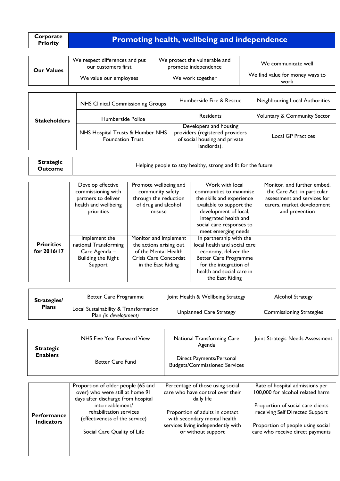| Corporate       |                                                     |
|-----------------|-----------------------------------------------------|
| <b>Priority</b> | <b>Promoting health, wellbeing and independence</b> |

| <b>Our Values</b> | We respect differences and put<br>our customers first | We protect the vulnerable and<br>promote independence | We communicate well                     |
|-------------------|-------------------------------------------------------|-------------------------------------------------------|-----------------------------------------|
|                   | We value our employees                                | We work together                                      | We find value for money ways to<br>work |
|                   |                                                       |                                                       |                                         |

|                     | NHS Clinical Commissioning Groups                           | Humberside Fire & Rescue                                                                                  | Neighbouring Local Authorities          |
|---------------------|-------------------------------------------------------------|-----------------------------------------------------------------------------------------------------------|-----------------------------------------|
| <b>Stakeholders</b> | Humberside Police                                           | <b>Residents</b>                                                                                          | <b>Voluntary &amp; Community Sector</b> |
|                     | NHS Hospital Trusts & Humber NHS<br><b>Foundation Trust</b> | Developers and housing<br>providers (registered providers<br>of social housing and private<br>landlords). | <b>Local GP Practices</b>               |

| <b>Strategic</b><br><b>Outcome</b> | Helping people to stay healthy, strong and fit for the future |
|------------------------------------|---------------------------------------------------------------|
|------------------------------------|---------------------------------------------------------------|

|                                  | Develop effective<br>commissioning with<br>partners to deliver<br>health and wellbeing<br>priorities | Promote wellbeing and<br>community safety<br>through the reduction<br>of drug and alcohol<br>misuse | Work with local<br>communities to maximise<br>the skills and experience<br>available to support the<br>development of local, | Monitor, and further embed,<br>the Care Act, in particular<br>assessment and services for<br>carers, market development<br>and prevention |
|----------------------------------|------------------------------------------------------------------------------------------------------|-----------------------------------------------------------------------------------------------------|------------------------------------------------------------------------------------------------------------------------------|-------------------------------------------------------------------------------------------------------------------------------------------|
|                                  |                                                                                                      |                                                                                                     | integrated health and<br>social care responses to<br>meet emerging needs                                                     |                                                                                                                                           |
| <b>Priorities</b><br>for 2016/17 | Implement the<br>national Transforming<br>Care Agenda -                                              | Monitor and implement<br>the actions arising out<br>of the Mental Health                            | In partnership with the<br>local health and social care<br>economy, deliver the                                              |                                                                                                                                           |
|                                  | <b>Building the Right</b><br>Support                                                                 | Crisis Care Concordat<br>in the East Riding                                                         | <b>Better Care Programme</b><br>for the integration of<br>health and social care in                                          |                                                                                                                                           |
|                                  |                                                                                                      |                                                                                                     | the East Riding                                                                                                              |                                                                                                                                           |

| <b>Strategies/</b> | Better Care Programme                                          | Joint Health & Wellbeing Strategy | <b>Alcohol Strategy</b>         |
|--------------------|----------------------------------------------------------------|-----------------------------------|---------------------------------|
| <b>Plans</b>       | Local Sustainability & Transformation<br>Plan (in development) | Unplanned Care Strategy           | <b>Commissioning Strategies</b> |

| <b>Strategic</b> | NHS Five Year Forward View                                                                                  | <b>National Transforming Care</b><br>Agenda                                        | Joint Strategic Needs Assessment                                    |
|------------------|-------------------------------------------------------------------------------------------------------------|------------------------------------------------------------------------------------|---------------------------------------------------------------------|
| <b>Enablers</b>  | <b>Better Care Fund</b>                                                                                     | Direct Payments/Personal<br><b>Budgets/Commissioned Services</b>                   |                                                                     |
|                  | Proportion of older people (65 and<br>over) who were still at home 91<br>days after discharge from hospital | Percentage of those using social<br>care who have control over their<br>daily life | Rate of hospital admissions per<br>100,000 for alcohol related harm |
|                  | into reablement/                                                                                            |                                                                                    | Proportion of social care clients                                   |

| <b>Performance</b><br><b>Indicators</b> | into reablement/<br>rehabilitation services<br>(effectiveness of the service) | Proportion of adults in contact<br>with secondary mental health<br>services living independently with | Proportion of social care clients<br>receiving Self Directed Support<br>Proportion of people using social |
|-----------------------------------------|-------------------------------------------------------------------------------|-------------------------------------------------------------------------------------------------------|-----------------------------------------------------------------------------------------------------------|
|                                         | Social Care Quality of Life                                                   | or without support                                                                                    | care who receive direct payments                                                                          |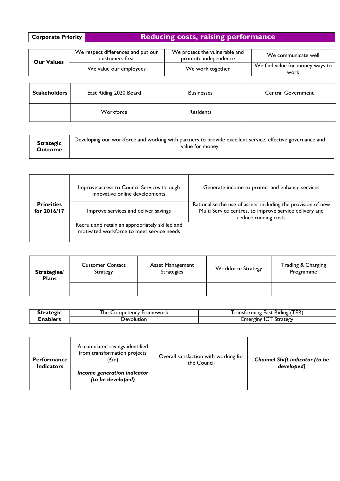# Reducing costs, raising performance

| <b>Our Values</b> | We respect differences and put our<br>customers first | We protect the vulnerable and<br>promote independence | We communicate well                     |
|-------------------|-------------------------------------------------------|-------------------------------------------------------|-----------------------------------------|
|                   | We value our employees                                | We work together                                      | We find value for money ways to<br>work |
|                   |                                                       |                                                       |                                         |

| Stakeholders | East Riding 2020 Board | <b>Businesses</b> | <b>Central Government</b> |
|--------------|------------------------|-------------------|---------------------------|
|              | Workforce              | <b>Residents</b>  |                           |

|                                  | Improve access to Council Services through<br>innovative online developments                 | Generate income to protect and enhance services                                                                                                 |
|----------------------------------|----------------------------------------------------------------------------------------------|-------------------------------------------------------------------------------------------------------------------------------------------------|
| <b>Priorities</b><br>for 2016/17 | Improve services and deliver savings                                                         | Rationalise the use of assets, including the provision of new<br>Multi Service centres, to improve service delivery and<br>reduce running costs |
|                                  | Recruit and retain an appropriately skilled and<br>motivated workforce to meet service needs |                                                                                                                                                 |

| <b>Strategies/</b><br><b>Plans</b> | <b>Customer Contact</b><br>Strategy | Asset Management<br><b>Strategies</b> | <b>Workforce Strategy</b> | Trading & Charging<br>Programme |
|------------------------------------|-------------------------------------|---------------------------------------|---------------------------|---------------------------------|
|                                    |                                     |                                       |                           |                                 |

| <b>STRAFFIT</b> | ' he<br><b>Framework</b><br>. Competency | <b>TER</b> )<br>. .<br>, ransforming '<br><b>Kiding</b><br>East |
|-----------------|------------------------------------------|-----------------------------------------------------------------|
| :nablers        | Devolution                               | Strategy<br>meroins :                                           |

| <b>Performance</b><br><b>Indicators</b> | Accumulated savings identified<br>from transformation projects<br>(£m) | Overall satisfaction with working for<br>the Council | <b>Channel Shift indicator (to be</b><br>developed) |
|-----------------------------------------|------------------------------------------------------------------------|------------------------------------------------------|-----------------------------------------------------|
|                                         | Income generation indicator<br>(to be developed)                       |                                                      |                                                     |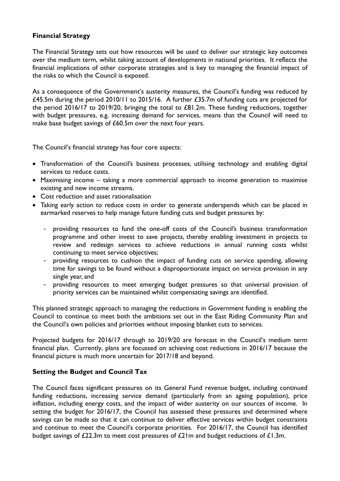#### **Financial Strategy**

The Financial Strategy sets out how resources will be used to deliver our strategic key outcomes over the medium term, whilst taking account of developments in national priorities. It reflects the financial implications of other corporate strategies and is key to managing the financial impact of the risks to which the Council is exposed.

As a consequence of the Government's austerity measures, the Council's funding was reduced by £45.5m during the period 2010/11 to 2015/16. A further £35.7m of funding cuts are projected for the period 2016/17 to 2019/20, bringing the total to £81.2m. These funding reductions, together with budget pressures, e.g. increasing demand for services, means that the Council will need to make base budget savings of £60.5m over the next four years.

The Council's financial strategy has four core aspects:

- Transformation of the Council's business processes, utilising technology and enabling digital services to reduce costs.
- Maximising income taking a more commercial approach to income generation to maximise existing and new income streams.
- Cost reduction and asset rationalisation
- Taking early action to reduce costs in order to generate underspends which can be placed in earmarked reserves to help manage future funding cuts and budget pressures by:
	- providing resources to fund the one-off costs of the Council's business transformation programme and other invest to save projects, thereby enabling investment in projects to review and redesign services to achieve reductions in annual running costs whilst continuing to meet service objectives;
	- providing resources to cushion the impact of funding cuts on service spending, allowing time for savings to be found without a disproportionate impact on service provision in any single year, and
	- providing resources to meet emerging budget pressures so that universal provision of priority services can be maintained whilst compensating savings are identified.

This planned strategic approach to managing the reductions in Government funding is enabling the Council to continue to meet both the ambitions set out in the East Riding Community Plan and the Council's own policies and priorities without imposing blanket cuts to services.

Projected budgets for 2016/17 through to 2019/20 are forecast in the Council's medium term financial plan. Currently, plans are focussed on achieving cost reductions in 2016/17 because the financial picture is much more uncertain for 2017/18 and beyond.

#### **Setting the Budget and Council Tax**

The Council faces significant pressures on its General Fund revenue budget, including continued funding reductions, increasing service demand (particularly from an ageing population), price inflation, including energy costs, and the impact of wider austerity on our sources of income. In setting the budget for 2016/17, the Council has assessed these pressures and determined where savings can be made so that it can continue to deliver effective services within budget constraints and continue to meet the Council's corporate priorities. For 2016/17, the Council has identified budget savings of £22.3m to meet cost pressures of £21m and budget reductions of £1.3m.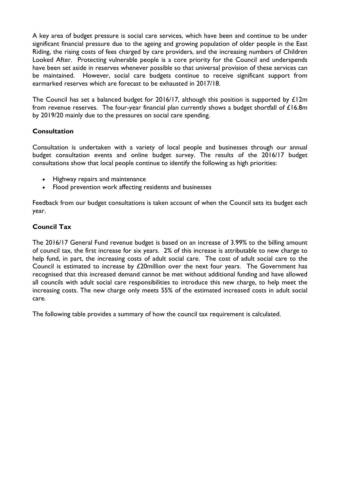A key area of budget pressure is social care services, which have been and continue to be under significant financial pressure due to the ageing and growing population of older people in the East Riding, the rising costs of fees charged by care providers, and the increasing numbers of Children Looked After. Protecting vulnerable people is a core priority for the Council and underspends have been set aside in reserves whenever possible so that universal provision of these services can be maintained. However, social care budgets continue to receive significant support from earmarked reserves which are forecast to be exhausted in 2017/18.

The Council has set a balanced budget for 2016/17, although this position is supported by £12m from revenue reserves. The four-year financial plan currently shows a budget shortfall of £16.8m by 2019/20 mainly due to the pressures on social care spending.

#### **Consultation**

Consultation is undertaken with a variety of local people and businesses through our annual budget consultation events and online budget survey. The results of the 2016/17 budget consultations show that local people continue to identify the following as high priorities:

- Highway repairs and maintenance
- Flood prevention work affecting residents and businesses

Feedback from our budget consultations is taken account of when the Council sets its budget each year.

#### **Council Tax**

The 2016/17 General Fund revenue budget is based on an increase of 3.99% to the billing amount of council tax, the first increase for six years. 2% of this increase is attributable to new charge to help fund, in part, the increasing costs of adult social care. The cost of adult social care to the Council is estimated to increase by £20million over the next four years. The Government has recognised that this increased demand cannot be met without additional funding and have allowed all councils with adult social care responsibilities to introduce this new charge, to help meet the increasing costs. The new charge only meets 55% of the estimated increased costs in adult social care.

The following table provides a summary of how the council tax requirement is calculated.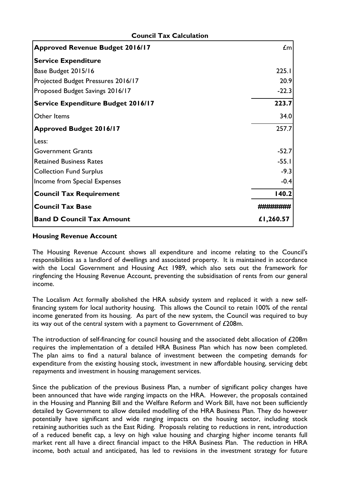| <b>Approved Revenue Budget 2016/17</b>    | $\mathbf{f}$ m |
|-------------------------------------------|----------------|
| <b>Service Expenditure</b>                |                |
| Base Budget 2015/16                       | 225.1          |
| Projected Budget Pressures 2016/17        | 20.9           |
| Proposed Budget Savings 2016/17           | $-22.3$        |
| <b>Service Expenditure Budget 2016/17</b> | 223.7          |
| Other Items                               | 34.0           |
| <b>Approved Budget 2016/17</b>            | 257.7          |
| Less:                                     |                |
| <b>Government Grants</b>                  | $-52.7$        |
| <b>Retained Business Rates</b>            | $-55.1$        |
| <b>Collection Fund Surplus</b>            | $-9.3$         |
| Income from Special Expenses              | $-0.4$         |
| <b>Council Tax Requirement</b>            | 140.2          |
| <b>Council Tax Base</b>                   |                |
| <b>Band D Council Tax Amount</b>          | £1,260.57      |

#### **Council Tax Calculation**

#### **Housing Revenue Account**

The Housing Revenue Account shows all expenditure and income relating to the Council's responsibilities as a landlord of dwellings and associated property. It is maintained in accordance with the Local Government and Housing Act 1989, which also sets out the framework for ringfencing the Housing Revenue Account, preventing the subsidisation of rents from our general income.

The Localism Act formally abolished the HRA subsidy system and replaced it with a new selffinancing system for local authority housing. This allows the Council to retain 100% of the rental income generated from its housing. As part of the new system, the Council was required to buy its way out of the central system with a payment to Government of £208m.

The introduction of self-financing for council housing and the associated debt allocation of £208m requires the implementation of a detailed HRA Business Plan which has now been completed. The plan aims to find a natural balance of investment between the competing demands for expenditure from the existing housing stock, investment in new affordable housing, servicing debt repayments and investment in housing management services.

Since the publication of the previous Business Plan, a number of significant policy changes have been announced that have wide ranging impacts on the HRA. However, the proposals contained in the Housing and Planning Bill and the Welfare Reform and Work Bill, have not been sufficiently detailed by Government to allow detailed modelling of the HRA Business Plan. They do however potentially have significant and wide ranging impacts on the housing sector, including stock retaining authorities such as the East Riding. Proposals relating to reductions in rent, introduction of a reduced benefit cap, a levy on high value housing and charging higher income tenants full market rent all have a direct financial impact to the HRA Business Plan. The reduction in HRA income, both actual and anticipated, has led to revisions in the investment strategy for future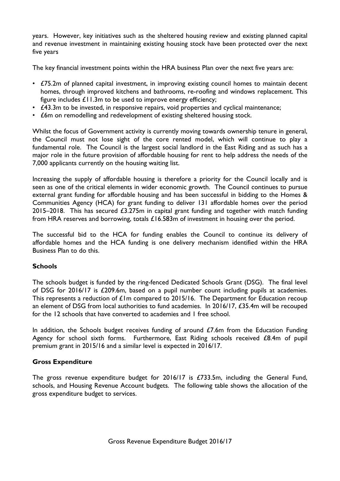years. However, key initiatives such as the sheltered housing review and existing planned capital and revenue investment in maintaining existing housing stock have been protected over the next five years

The key financial investment points within the HRA business Plan over the next five years are:

- £75.2m of planned capital investment, in improving existing council homes to maintain decent homes, through improved kitchens and bathrooms, re-roofing and windows replacement. This figure includes £11.3m to be used to improve energy efficiency;
- £43.3m to be invested, in responsive repairs, void properties and cyclical maintenance;
- £6m on remodelling and redevelopment of existing sheltered housing stock.

Whilst the focus of Government activity is currently moving towards ownership tenure in general, the Council must not lose sight of the core rented model, which will continue to play a fundamental role. The Council is the largest social landlord in the East Riding and as such has a major role in the future provision of affordable housing for rent to help address the needs of the 7,000 applicants currently on the housing waiting list.

Increasing the supply of affordable housing is therefore a priority for the Council locally and is seen as one of the critical elements in wider economic growth. The Council continues to pursue external grant funding for affordable housing and has been successful in bidding to the Homes & Communities Agency (HCA) for grant funding to deliver 131 affordable homes over the period 2015–2018. This has secured £3.275m in capital grant funding and together with match funding from HRA reserves and borrowing, totals £16.583m of investment in housing over the period.

The successful bid to the HCA for funding enables the Council to continue its delivery of affordable homes and the HCA funding is one delivery mechanism identified within the HRA Business Plan to do this.

#### **Schools**

The schools budget is funded by the ring-fenced Dedicated Schools Grant (DSG). The final level of DSG for 2016/17 is £209.6m, based on a pupil number count including pupils at academies. This represents a reduction of £1m compared to 2015/16. The Department for Education recoup an element of DSG from local authorities to fund academies. In 2016/17, £35.4m will be recouped for the 12 schools that have converted to academies and 1 free school.

In addition, the Schools budget receives funding of around  $E7.6m$  from the Education Funding Agency for school sixth forms. Furthermore, East Riding schools received £8.4m of pupil premium grant in 2015/16 and a similar level is expected in 2016/17.

#### **Gross Expenditure**

The gross revenue expenditure budget for 2016/17 is £733.5m, including the General Fund, schools, and Housing Revenue Account budgets. The following table shows the allocation of the gross expenditure budget to services.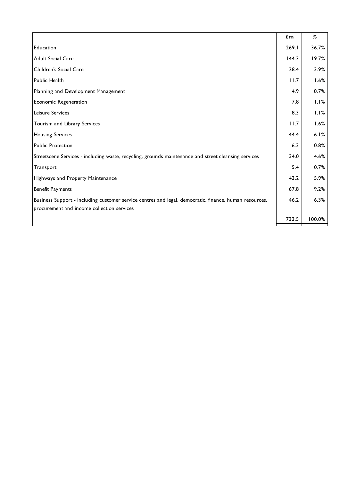|                                                                                                        | $\mathbf{f}$ m | %      |
|--------------------------------------------------------------------------------------------------------|----------------|--------|
| Education                                                                                              | 269.1          | 36.7%  |
| Adult Social Care                                                                                      | 144.3          | 19.7%  |
| Children's Social Care                                                                                 | 28.4           | 3.9%   |
| Public Health                                                                                          | 11.7           | 1.6%   |
| Planning and Development Management                                                                    | 4.9            | 0.7%   |
| Economic Regeneration                                                                                  | 7.8            | 1.1%   |
| Leisure Services                                                                                       | 8.3            | 1.1%   |
| Tourism and Library Services                                                                           | 11.7           | 1.6%   |
| <b>Housing Services</b>                                                                                | 44.4           | 6.1%   |
| <b>Public Protection</b>                                                                               | 6.3            | 0.8%   |
| Streetscene Services - including waste, recycling, grounds maintenance and street cleansing services   | 34.0           | 4.6%   |
| Transport                                                                                              | 5.4            | 0.7%   |
| Highways and Property Maintenance                                                                      | 43.2           | 5.9%   |
| <b>Benefit Payments</b>                                                                                | 67.8           | 9.2%   |
| Business Support - including customer service centres and legal, democratic, finance, human resources, | 46.2           | 6.3%   |
| procurement and income collection services                                                             |                |        |
|                                                                                                        | 733.5          | 100.0% |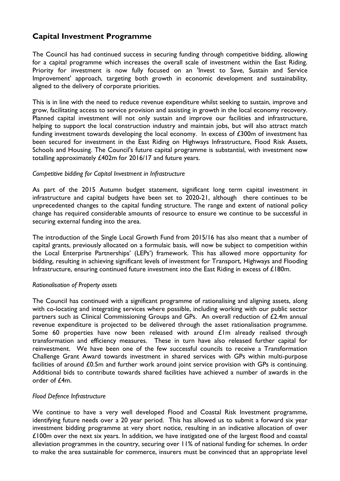## **Capital Investment Programme**

The Council has had continued success in securing funding through competitive bidding, allowing for a capital programme which increases the overall scale of investment within the East Riding. Priority for investment is now fully focused on an 'Invest to Save, Sustain and Service Improvement' approach, targeting both growth in economic development and sustainability, aligned to the delivery of corporate priorities.

This is in line with the need to reduce revenue expenditure whilst seeking to sustain, improve and grow, facilitating access to service provision and assisting in growth in the local economy recovery. Planned capital investment will not only sustain and improve our facilities and infrastructure, helping to support the local construction industry and maintain jobs, but will also attract match funding investment towards developing the local economy. In excess of £300m of investment has been secured for investment in the East Riding on Highways Infrastructure, Flood Risk Assets, Schools and Housing. The Council's future capital programme is substantial, with investment now totalling approximately £402m for 2016/17 and future years.

#### *Competitive bidding for Capital Investment in Infrastructure*

As part of the 2015 Autumn budget statement, significant long term capital investment in infrastructure and capital budgets have been set to 2020-21, although there continues to be unprecedented changes to the capital funding structure. The range and extent of national policy change has required considerable amounts of resource to ensure we continue to be successful in securing external funding into the area.

The introduction of the Single Local Growth Fund from 2015/16 has also meant that a number of capital grants, previously allocated on a formulaic basis, will now be subject to competition within the Local Enterprise Partnerships' (LEPs') framework. This has allowed more opportunity for bidding, resulting in achieving significant levels of investment for Transport, Highways and Flooding Infrastructure, ensuring continued future investment into the East Riding in excess of £180m.

#### *Rationalisation of Property assets*

The Council has continued with a significant programme of rationalising and aligning assets, along with co-locating and integrating services where possible, including working with our public sector partners such as Clinical Commissioning Groups and GPs. An overall reduction of £2.4m annual revenue expenditure is projected to be delivered through the asset rationalisation programme. Some 60 properties have now been released with around £1m already realised through transformation and efficiency measures. These in turn have also released further capital for reinvestment. We have been one of the few successful councils to receive a Transformation Challenge Grant Award towards investment in shared services with GPs within multi-purpose facilities of around £0.5m and further work around joint service provision with GPs is continuing. Additional bids to contribute towards shared facilities have achieved a number of awards in the order of  $f4m$ 

#### *Flood Defence Infrastructure*

We continue to have a very well developed Flood and Coastal Risk Investment programme, identifying future needs over a 20 year period. This has allowed us to submit a forward six year investment bidding programme at very short notice, resulting in an indicative allocation of over £100m over the next six years. In addition, we have instigated one of the largest flood and coastal alleviation programmes in the country, securing over 11% of national funding for schemes. In order to make the area sustainable for commerce, insurers must be convinced that an appropriate level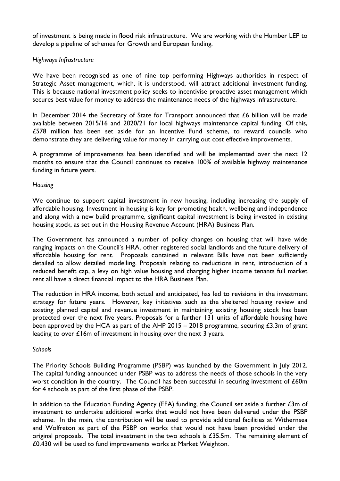of investment is being made in flood risk infrastructure. We are working with the Humber LEP to develop a pipeline of schemes for Growth and European funding.

#### *Highways Infrastructure*

We have been recognised as one of nine top performing Highways authorities in respect of Strategic Asset management, which, it is understood, will attract additional investment funding. This is because national investment policy seeks to incentivise proactive asset management which secures best value for money to address the maintenance needs of the highways infrastructure.

In December 2014 the Secretary of State for Transport announced that  $E6$  billion will be made available between 2015/16 and 2020/21 for local highways maintenance capital funding. Of this, £578 million has been set aside for an Incentive Fund scheme, to reward councils who demonstrate they are delivering value for money in carrying out cost effective improvements.

A programme of improvements has been identified and will be implemented over the next 12 months to ensure that the Council continues to receive 100% of available highway maintenance funding in future years.

#### *Housing*

We continue to support capital investment in new housing, including increasing the supply of affordable housing. Investment in housing is key for promoting health, wellbeing and independence and along with a new build programme, significant capital investment is being invested in existing housing stock, as set out in the Housing Revenue Account (HRA) Business Plan.

The Government has announced a number of policy changes on housing that will have wide ranging impacts on the Council's HRA, other registered social landlords and the future delivery of affordable housing for rent. Proposals contained in relevant Bills have not been sufficiently detailed to allow detailed modelling. Proposals relating to reductions in rent, introduction of a reduced benefit cap, a levy on high value housing and charging higher income tenants full market rent all have a direct financial impact to the HRA Business Plan.

The reduction in HRA income, both actual and anticipated, has led to revisions in the investment strategy for future years. However, key initiatives such as the sheltered housing review and existing planned capital and revenue investment in maintaining existing housing stock has been protected over the next five years. Proposals for a further 131 units of affordable housing have been approved by the HCA as part of the AHP 2015 – 2018 programme, securing  $\epsilon$ 3.3m of grant leading to over £16m of investment in housing over the next 3 years.

#### *Schools*

The Priority Schools Building Programme (PSBP) was launched by the Government in July 2012. The capital funding announced under PSBP was to address the needs of those schools in the very worst condition in the country. The Council has been successful in securing investment of £60m for 4 schools as part of the first phase of the PSBP.

In addition to the Education Funding Agency (EFA) funding, the Council set aside a further  $\mathcal{L}3m$  of investment to undertake additional works that would not have been delivered under the PSBP scheme. In the main, the contribution will be used to provide additional facilities at Withernsea and Wolfreton as part of the PSBP on works that would not have been provided under the original proposals. The total investment in the two schools is £35.5m. The remaining element of £0.430 will be used to fund improvements works at Market Weighton.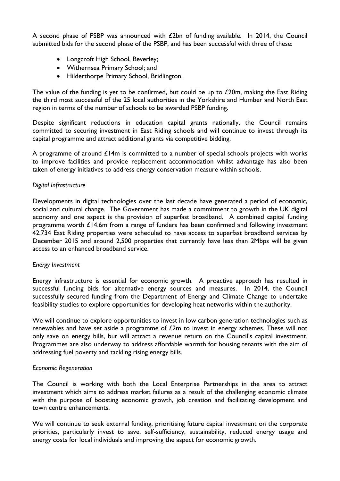A second phase of PSBP was announced with £2bn of funding available. In 2014, the Council submitted bids for the second phase of the PSBP, and has been successful with three of these:

- Longcroft High School, Beverley;
- Withernsea Primary School; and
- Hilderthorpe Primary School, Bridlington.

The value of the funding is yet to be confirmed, but could be up to  $£20m$ , making the East Riding the third most successful of the 25 local authorities in the Yorkshire and Humber and North East region in terms of the number of schools to be awarded PSBP funding.

Despite significant reductions in education capital grants nationally, the Council remains committed to securing investment in East Riding schools and will continue to invest through its capital programme and attract additional grants via competitive bidding.

A programme of around  $\mathcal{L}$  | 4m is committed to a number of special schools projects with works to improve facilities and provide replacement accommodation whilst advantage has also been taken of energy initiatives to address energy conservation measure within schools.

#### *Digital Infrastructure*

Developments in digital technologies over the last decade have generated a period of economic, social and cultural change. The Government has made a commitment to growth in the UK digital economy and one aspect is the provision of superfast broadband. A combined capital funding programme worth £14.6m from a range of funders has been confirmed and following investment 42,734 East Riding properties were scheduled to have access to superfast broadband services by December 2015 and around 2,500 properties that currently have less than 2Mbps will be given access to an enhanced broadband service.

#### *Energy Investment*

Energy infrastructure is essential for economic growth. A proactive approach has resulted in successful funding bids for alternative energy sources and measures. In 2014, the Council successfully secured funding from the Department of Energy and Climate Change to undertake feasibility studies to explore opportunities for developing heat networks within the authority.

We will continue to explore opportunities to invest in low carbon generation technologies such as renewables and have set aside a programme of  $E2m$  to invest in energy schemes. These will not only save on energy bills, but will attract a revenue return on the Council's capital investment. Programmes are also underway to address affordable warmth for housing tenants with the aim of addressing fuel poverty and tackling rising energy bills.

#### *Economic Regeneration*

The Council is working with both the Local Enterprise Partnerships in the area to attract investment which aims to address market failures as a result of the challenging economic climate with the purpose of boosting economic growth, job creation and facilitating development and town centre enhancements.

We will continue to seek external funding, prioritising future capital investment on the corporate priorities, particularly invest to save, self-sufficiency, sustainability, reduced energy usage and energy costs for local individuals and improving the aspect for economic growth.